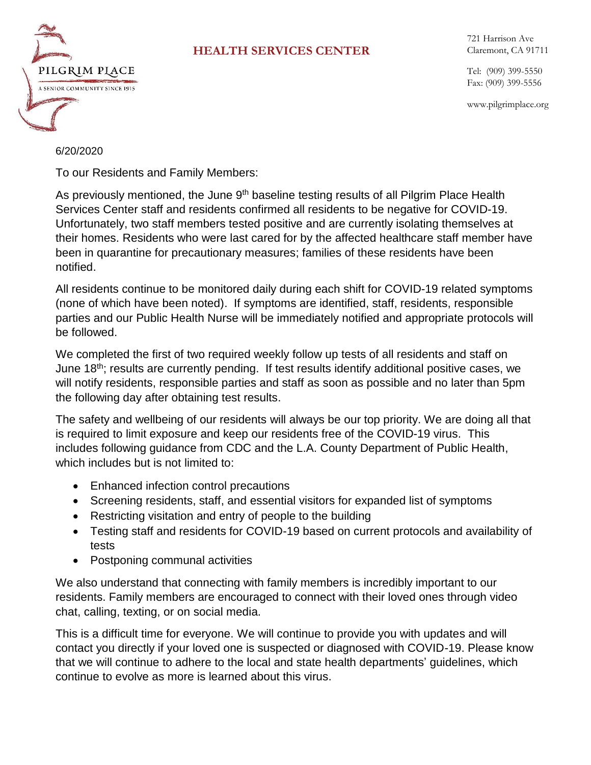

## **HEALTH SERVICES CENTER**

721 Harrison Ave Claremont, CA 91711

Tel: (909) 399-5550 Fax: (909) 399-5556

www.pilgrimplace.org

## 6/20/2020

To our Residents and Family Members:

As previously mentioned, the June 9<sup>th</sup> baseline testing results of all Pilgrim Place Health Services Center staff and residents confirmed all residents to be negative for COVID-19. Unfortunately, two staff members tested positive and are currently isolating themselves at their homes. Residents who were last cared for by the affected healthcare staff member have been in quarantine for precautionary measures; families of these residents have been notified.

All residents continue to be monitored daily during each shift for COVID-19 related symptoms (none of which have been noted). If symptoms are identified, staff, residents, responsible parties and our Public Health Nurse will be immediately notified and appropriate protocols will be followed.

We completed the first of two required weekly follow up tests of all residents and staff on June 18<sup>th</sup>; results are currently pending. If test results identify additional positive cases, we will notify residents, responsible parties and staff as soon as possible and no later than 5pm the following day after obtaining test results.

The safety and wellbeing of our residents will always be our top priority. We are doing all that is required to limit exposure and keep our residents free of the COVID-19 virus. This includes following guidance from CDC and the L.A. County Department of Public Health, which includes but is not limited to:

- Enhanced infection control precautions
- Screening residents, staff, and essential visitors for expanded list of symptoms
- Restricting visitation and entry of people to the building
- Testing staff and residents for COVID-19 based on current protocols and availability of tests
- Postponing communal activities

We also understand that connecting with family members is incredibly important to our residents. Family members are encouraged to connect with their loved ones through video chat, calling, texting, or on social media.

This is a difficult time for everyone. We will continue to provide you with updates and will contact you directly if your loved one is suspected or diagnosed with COVID-19. Please know that we will continue to adhere to the local and state health departments' guidelines, which continue to evolve as more is learned about this virus.